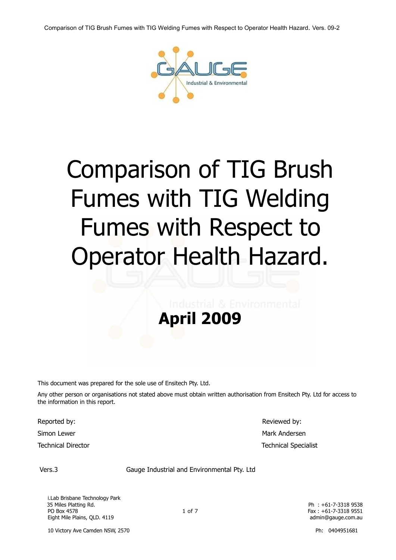Comparison of TIG Brush Fumes with TIG Welding Fumes with Respect to Operator Health Hazard. Vers. 09-2



# Comparison of TIG Brush Fumes with TIG Welding Fumes with Respect to Operator Health Hazard.

This document was prepared for the sole use of Ensitech Pty. Ltd.

Any other person or organisations not stated above must obtain written authorisation from Ensitech Pty. Ltd for access to the information in this report.

**April 2009**

Reported by:  $\blacksquare$  Reviewed by:

Simon Lewer Mark Andersen Mark Andersen Technical Director Technical Specialist

Vers.3 Gauge Industrial and Environmental Pty. Ltd

i.Lab Brisbane Technology Park<br>35 Miles Platting Rd. PO Box 4578 **Fax : +61-7-3318 9551 1 of 7** Fax : +61-7-3318 9551 Eight Mile Plains, QLD. 4119 **and The Control of Control Control of Control Control Control Control Control Control Control Control Control Control Control Control Control Control Control Control Control Control Control Co** 

Ph: +61-7-3318 9538

10 Victory Ave Camden NSW, 2570 **Ph: 0404951681** Ph: 0404951681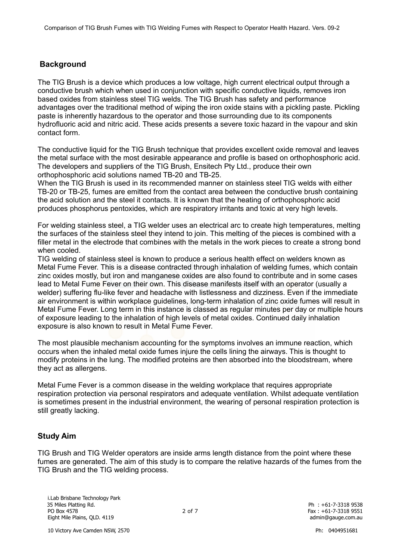# **Background**

The TIG Brush is a device which produces a low voltage, high current electrical output through a conductive brush which when used in conjunction with specific conductive liquids, removes iron based oxides from stainless steel TIG welds. The TIG Brush has safety and performance advantages over the traditional method of wiping the iron oxide stains with a pickling paste. Pickling paste is inherently hazardous to the operator and those surrounding due to its components hydrofluoric acid and nitric acid. These acids presents a severe toxic hazard in the vapour and skin contact form.

The conductive liquid for the TIG Brush technique that provides excellent oxide removal and leaves the metal surface with the most desirable appearance and profile is based on orthophosphoric acid. The developers and suppliers of the TIG Brush, Ensitech Pty Ltd., produce their own orthophosphoric acid solutions named TB-20 and TB-25.

When the TIG Brush is used in its recommended manner on stainless steel TIG welds with either TB-20 or TB-25, fumes are emitted from the contact area between the conductive brush containing the acid solution and the steel it contacts. It is known that the heating of orthophosphoric acid produces phosphorus pentoxides, which are respiratory irritants and toxic at very high levels.

For welding stainless steel, a TIG welder uses an electrical arc to create high temperatures, melting the surfaces of the stainless steel they intend to join. This melting of the pieces is combined with a filler metal in the electrode that combines with the metals in the work pieces to create a strong bond when cooled.

TIG welding of stainless steel is known to produce a serious health effect on welders known as Metal Fume Fever. This is a disease contracted through inhalation of welding fumes, which contain zinc oxides mostly, but iron and manganese oxides are also found to contribute and in some cases lead to Metal Fume Fever on their own. This disease manifests itself with an operator (usually a welder) suffering flu-like fever and headache with listlessness and dizziness. Even if the immediate air environment is within workplace guidelines, long-term inhalation of zinc oxide fumes will result in Metal Fume Fever. Long term in this instance is classed as regular minutes per day or multiple hours of exposure leading to the inhalation of high levels of metal oxides. Continued daily inhalation exposure is also known to result in Metal Fume Fever.

The most plausible mechanism accounting for the symptoms involves an immune reaction, which occurs when the inhaled metal oxide fumes injure the cells lining the airways. This is thought to modify proteins in the lung. The modified proteins are then absorbed into the bloodstream, where they act as allergens.

Metal Fume Fever is a common disease in the welding workplace that requires appropriate respiration protection via personal respirators and adequate ventilation. Whilst adequate ventilation is sometimes present in the industrial environment, the wearing of personal respiration protection is still greatly lacking.

# **Study Aim**

TIG Brush and TIG Welder operators are inside arms length distance from the point where these fumes are generated. The aim of this study is to compare the relative hazards of the fumes from the TIG Brush and the TIG welding process.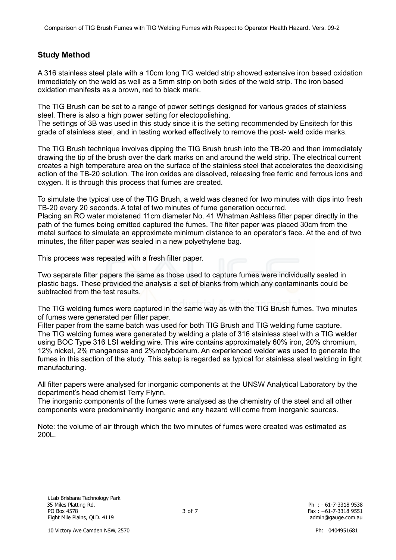# **Study Method**

A 316 stainless steel plate with a 10cm long TIG welded strip showed extensive iron based oxidation immediately on the weld as well as a 5mm strip on both sides of the weld strip. The iron based oxidation manifests as a brown, red to black mark.

The TIG Brush can be set to a range of power settings designed for various grades of stainless steel. There is also a high power setting for electopolishing.

The settings of 3B was used in this study since it is the setting recommended by Ensitech for this grade of stainless steel, and in testing worked effectively to remove the post- weld oxide marks.

The TIG Brush technique involves dipping the TIG Brush brush into the TB-20 and then immediately drawing the tip of the brush over the dark marks on and around the weld strip. The electrical current creates a high temperature area on the surface of the stainless steel that accelerates the deoxidising action of the TB-20 solution. The iron oxides are dissolved, releasing free ferric and ferrous ions and oxygen. It is through this process that fumes are created.

To simulate the typical use of the TIG Brush, a weld was cleaned for two minutes with dips into fresh TB-20 every 20 seconds. A total of two minutes of fume generation occurred.

Placing an RO water moistened 11cm diameter No. 41 Whatman Ashless filter paper directly in the path of the fumes being emitted captured the fumes. The filter paper was placed 30cm from the metal surface to simulate an approximate minimum distance to an operator's face. At the end of two minutes, the filter paper was sealed in a new polyethylene bag.

This process was repeated with a fresh filter paper.

Two separate filter papers the same as those used to capture fumes were individually sealed in plastic bags. These provided the analysis a set of blanks from which any contaminants could be subtracted from the test results.

The TIG welding fumes were captured in the same way as with the TIG Brush fumes. Two minutes of fumes were generated per filter paper.

Filter paper from the same batch was used for both TIG Brush and TIG welding fume capture. The TIG welding fumes were generated by welding a plate of 316 stainless steel with a TIG welder using BOC Type 316 LSI welding wire. This wire contains approximately 60% iron, 20% chromium, 12% nickel, 2% manganese and 2%molybdenum. An experienced welder was used to generate the fumes in this section of the study. This setup is regarded as typical for stainless steel welding in light manufacturing.

All filter papers were analysed for inorganic components at the UNSW Analytical Laboratory by the department's head chemist Terry Flynn.

The inorganic components of the fumes were analysed as the chemistry of the steel and all other components were predominantly inorganic and any hazard will come from inorganic sources.

Note: the volume of air through which the two minutes of fumes were created was estimated as 200L.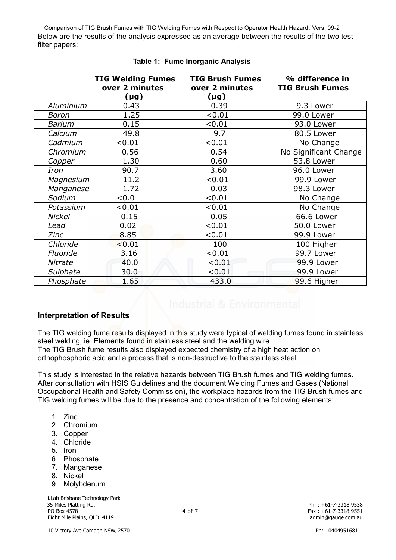Comparison of TIG Brush Fumes with TIG Welding Fumes with Respect to Operator Health Hazard. Vers. 09-2 Below are the results of the analysis expressed as an average between the results of the two test filter papers:

|               | <b>TIG Welding Fumes</b><br>over 2 minutes<br><u>(µg)</u> | <b>TIG Brush Fumes</b><br>over 2 minutes<br><u>(µg)</u> | % difference in<br><b>TIG Brush Fumes</b> |
|---------------|-----------------------------------------------------------|---------------------------------------------------------|-------------------------------------------|
| Aluminium     | 0.43                                                      | 0.39                                                    | 9.3 Lower                                 |
| Boron         | 1.25                                                      | < 0.01                                                  | 99.0 Lower                                |
| <b>Barium</b> | 0.15                                                      | < 0.01                                                  | 93.0 Lower                                |
| Calcium       | 49.8                                                      | 9.7                                                     | 80.5 Lower                                |
| Cadmium       | < 0.01                                                    | < 0.01                                                  | No Change                                 |
| Chromium      | 0.56                                                      | 0.54                                                    | No Significant Change                     |
| Copper        | 1.30                                                      | 0.60                                                    | 53.8 Lower                                |
| Iron          | 90.7                                                      | 3.60                                                    | 96.0 Lower                                |
| Magnesium     | 11.2                                                      | < 0.01                                                  | 99.9 Lower                                |
| Manganese     | 1.72                                                      | 0.03                                                    | 98.3 Lower                                |
| Sodium        | < 0.01                                                    | < 0.01                                                  | No Change                                 |
| Potassium     | < 0.01                                                    | < 0.01                                                  | No Change                                 |
| Nickel        | 0.15                                                      | 0.05                                                    | 66.6 Lower                                |
| Lead          | 0.02                                                      | < 0.01                                                  | 50.0 Lower                                |
| Zinc          | 8.85                                                      | < 0.01                                                  | 99.9 Lower                                |
| Chloride      | < 0.01                                                    | 100                                                     | 100 Higher                                |
| Fluoride      | 3.16                                                      | < 0.01                                                  | 99.7 Lower                                |
| Nitrate       | 40.0                                                      | < 0.01                                                  | 99.9 Lower                                |
| Sulphate      | 30.0                                                      | < 0.01                                                  | 99.9 Lower                                |
| Phosphate     | 1.65                                                      | 433.0                                                   | 99.6 Higher                               |

# **Table 1: Fume Inorganic Analysis**

# **Interpretation of Results**

The TIG welding fume results displayed in this study were typical of welding fumes found in stainless steel welding, ie. Elements found in stainless steel and the welding wire. The TIG Brush fume results also displayed expected chemistry of a high heat action on orthophosphoric acid and a process that is non-destructive to the stainless steel.

This study is interested in the relative hazards between TIG Brush fumes and TIG welding fumes. After consultation with HSIS Guidelines and the document Welding Fumes and Gases (National Occupational Health and Safety Commission), the workplace hazards from the TIG Brush fumes and TIG welding fumes will be due to the presence and concentration of the following elements:

- 1. Zinc
- 2. Chromium
- 3. Copper
- 4. Chloride
- 5. Iron
- 6. Phosphate
- 7. Manganese
- 8. Nickel
- 9. Molybdenum

i.Lab Brisbane Technology Park<br>35 Miles Platting Rd. PO Box 4578 Fax : +61-7-3318 9551 Eight Mile Plains, QLD. 4119 **admin@gauge.com.au** admin@gauge.com.au admin@gauge.com.au

Ph: +61-7-3318 9538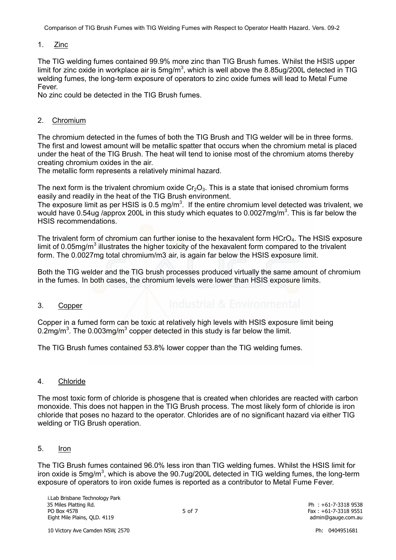1. Zinc

The TIG welding fumes contained 99.9% more zinc than TIG Brush fumes. Whilst the HSIS upper limit for zinc oxide in workplace air is  $5mg/m<sup>3</sup>$ , which is well above the 8.85ug/200L detected in TIG welding fumes, the long-term exposure of operators to zinc oxide fumes will lead to Metal Fume Fever.

No zinc could be detected in the TIG Brush fumes.

### 2. Chromium

The chromium detected in the fumes of both the TIG Brush and TIG welder will be in three forms. The first and lowest amount will be metallic spatter that occurs when the chromium metal is placed under the heat of the TIG Brush. The heat will tend to ionise most of the chromium atoms thereby creating chromium oxides in the air.

The metallic form represents a relatively minimal hazard.

The next form is the trivalent chromium oxide  $Cr_2O_3$ . This is a state that ionised chromium forms easily and readily in the heat of the TIG Brush environment.

The exposure limit as per HSIS is  $0.5 \text{ mg/m}^3$ . If the entire chromium level detected was trivalent, we would have 0.54ug /approx 200L in this study which equates to 0.0027mg/m<sup>3</sup>. This is far below the HSIS recommendations.

The trivalent form of chromium can further ionise to the hexavalent form  $H C<sub>1</sub>$ . The HSIS exposure limit of 0.05mg/m<sup>3</sup> illustrates the higher toxicity of the hexavalent form compared to the trivalent form. The 0.0027mg total chromium/m3 air, is again far below the HSIS exposure limit.

Both the TIG welder and the TIG brush processes produced virtually the same amount of chromium in the fumes. In both cases, the chromium levels were lower than HSIS exposure limits.

3. Copper

Copper in a fumed form can be toxic at relatively high levels with HSIS exposure limit being 0.2mg/m<sup>3</sup>. The 0.003mg/m<sup>3</sup> copper detected in this study is far below the limit.

The TIG Brush fumes contained 53.8% lower copper than the TIG welding fumes.

#### 4. Chloride

The most toxic form of chloride is phosgene that is created when chlorides are reacted with carbon monoxide. This does not happen in the TIG Brush process. The most likely form of chloride is iron chloride that poses no hazard to the operator. Chlorides are of no significant hazard via either TIG welding or TIG Brush operation.

#### 5. Iron

The TIG Brush fumes contained 96.0% less iron than TIG welding fumes. Whilst the HSIS limit for iron oxide is 5mg/m<sup>3</sup>, which is above the 90.7ug/200L detected in TIG welding fumes, the long-term exposure of operators to iron oxide fumes is reported as a contributor to Metal Fume Fever.

Ph: +61-7-3318 9538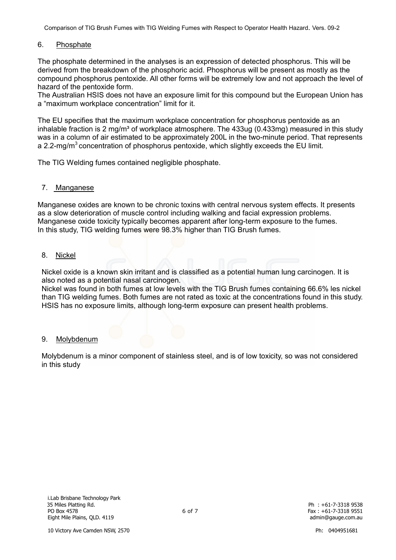Comparison of TIG Brush Fumes with TIG Welding Fumes with Respect to Operator Health Hazard. Vers. 09-2

# 6. Phosphate

The phosphate determined in the analyses is an expression of detected phosphorus. This will be derived from the breakdown of the phosphoric acid. Phosphorus will be present as mostly as the compound phosphorus pentoxide. All other forms will be extremely low and not approach the level of hazard of the pentoxide form.

The Australian HSIS does not have an exposure limit for this compound but the European Union has a "maximum workplace concentration" limit for it.

The EU specifies that the maximum workplace concentration for phosphorus pentoxide as an inhalable fraction is 2 mg/m<sup>3</sup> of workplace atmosphere. The 433ug (0.433mg) measured in this study was in a column of air estimated to be approximately 200L in the two-minute period. That represents a 2.2-mg/m<sup>3</sup> concentration of phosphorus pentoxide, which slightly exceeds the EU limit.

The TIG Welding fumes contained negligible phosphate.

#### 7. Manganese

Manganese oxides are known to be chronic toxins with central nervous system effects. It presents as a slow deterioration of muscle control including walking and facial expression problems. Manganese oxide toxicity typically becomes apparent after long-term exposure to the fumes. In this study, TIG welding fumes were 98.3% higher than TIG Brush fumes.

#### 8. Nickel

Nickel oxide is a known skin irritant and is classified as a potential human lung carcinogen. It is also noted as a potential nasal carcinogen.

Nickel was found in both fumes at low levels with the TIG Brush fumes containing 66.6% les nickel than TIG welding fumes. Both fumes are not rated as toxic at the concentrations found in this study. HSIS has no exposure limits, although long-term exposure can present health problems.

# 9. Molybdenum

Molybdenum is a minor component of stainless steel, and is of low toxicity, so was not considered in this study